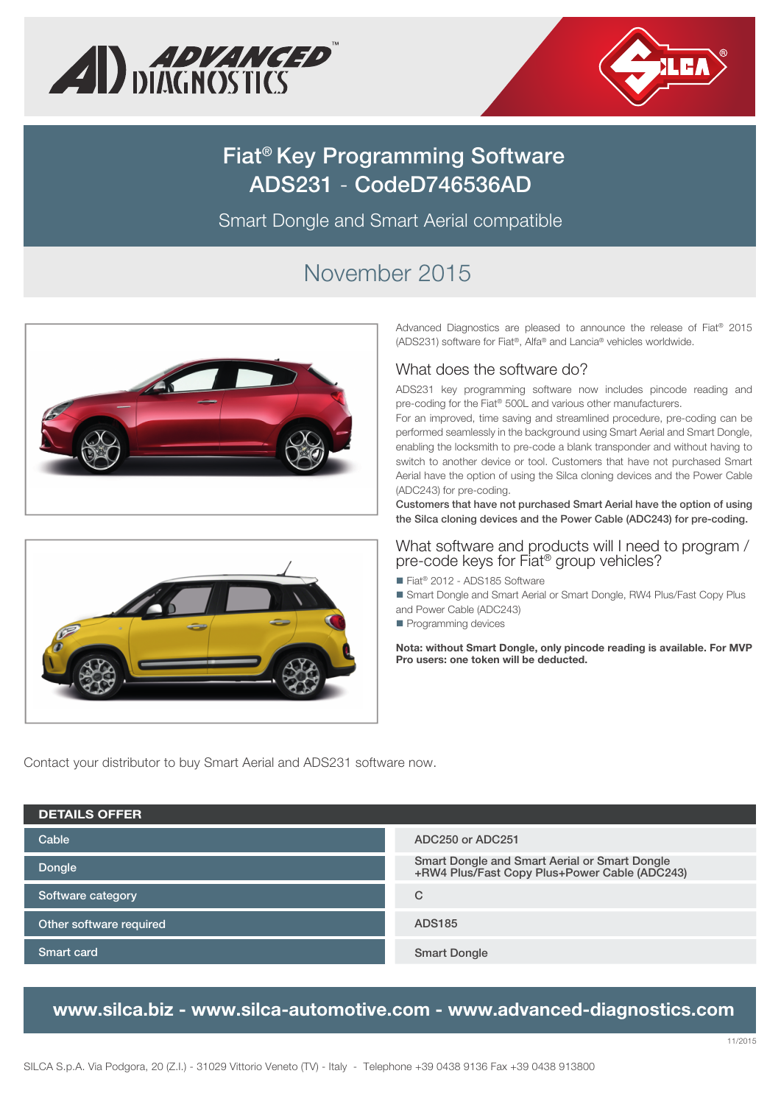



# **Fiat® Key Programming Software ADS231** - **CodeD746536AD**

Smart Dongle and Smart Aerial compatible

# November 2015





Advanced Diagnostics are pleased to announce the release of Fiat® 2015 (ADS231) software for Fiat®, Alfa® and Lancia® vehicles worldwide.

### What does the software do?

ADS231 key programming software now includes pincode reading and pre-coding for the Fiat® 500L and various other manufacturers.

For an improved, time saving and streamlined procedure, pre-coding can be performed seamlessly in the background using Smart Aerial and Smart Dongle, enabling the locksmith to pre-code a blank transponder and without having to switch to another device or tool. Customers that have not purchased Smart Aerial have the option of using the Silca cloning devices and the Power Cable (ADC243) for pre-coding.

**Customers that have not purchased Smart Aerial have the option of using the Silca cloning devices and the Power Cable (ADC243) for pre-coding.**

#### What software and products will I need to program / pre-code keys for Fiat® group vehicles?

■ Fiat<sup>®</sup> 2012 - ADS185 Software

 Smart Dongle and Smart Aerial or Smart Dongle, RW4 Plus/Fast Copy Plus and Power Cable (ADC243)

Programming devices

**Nota: without Smart Dongle, only pincode reading is available. For MVP Pro users: one token will be deducted.**

Contact your distributor to buy Smart Aerial and ADS231 software now.

| <b>DETAILS OFFER</b>    |                                                                                                |
|-------------------------|------------------------------------------------------------------------------------------------|
| Cable                   | ADC250 or ADC251                                                                               |
| Dongle                  | Smart Dongle and Smart Aerial or Smart Dongle<br>+RW4 Plus/Fast Copy Plus+Power Cable (ADC243) |
| Software category       | C                                                                                              |
| Other software required | <b>ADS185</b>                                                                                  |
| Smart card              | <b>Smart Dongle</b>                                                                            |

## **www.silca.biz - www.silca-automotive.com - www.advanced-diagnostics.com**